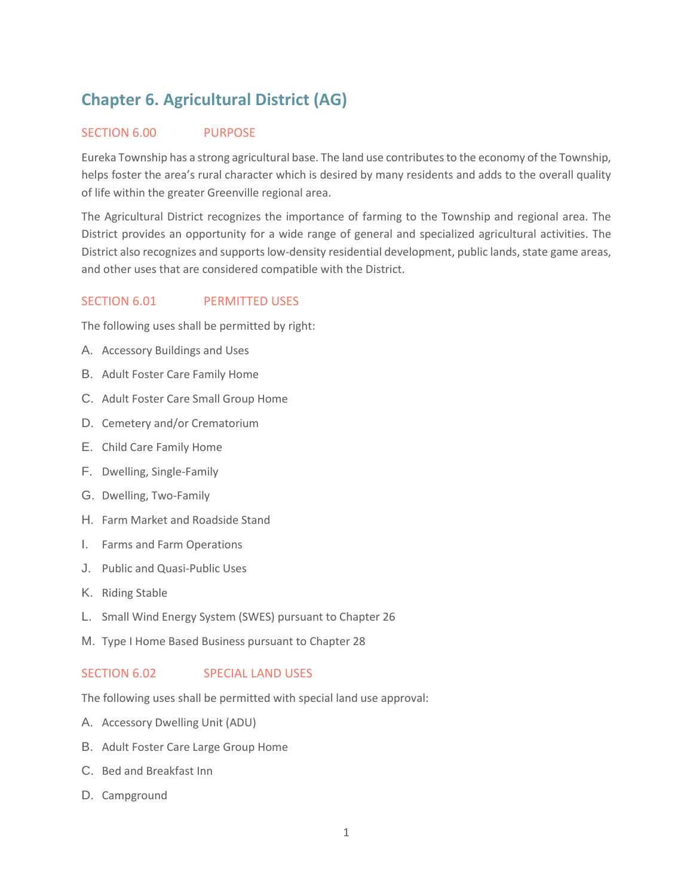# **Chapter 6. Agricultural District (AG)**

#### SECTION 6.00 PURPOSE

Eureka Township has a strong agricultural base. The land use contributes to the economy of the Township, helps foster the area's rural character which is desired by many residents and adds to the overall quality of life within the greater Greenville regional area.

The Agricultural District recognizes the importance of farming to the Township and regional area. The District provides an opportunity for a wide range of general and specialized agricultural activities. The District also recognizes and supports low-density residential development, public lands, state game areas, and other uses that are considered compatible with the District.

## SECTION 6.01 PERMITTED USES

The following uses shall be permitted by right:

- A. Accessory Buildings and Uses
- B. Adult Foster Care Family Home
- C. Adult Foster Care Small Group Home
- D. Cemetery and/or Crematorium
- E. Child Care Family Home
- F. Dwelling, Single-Family
- G. Dwelling, Two-Family
- H. Farm Market and Roadside Stand
- I. Farms and Farm Operations
- J. Public and Quasi-Public Uses
- K. Riding Stable
- L. Small Wind Energy System (SWES) pursuant to Chapter 26
- M. Type I Home Based Business pursuant to Chapter 28

#### SECTION 6.02 SPECIAL LAND USES

The following uses shall be permitted with special land use approval:

- A. Accessory Dwelling Unit (ADU)
- B. Adult Foster Care Large Group Home
- C. Bed and Breakfast Inn
- D. Campground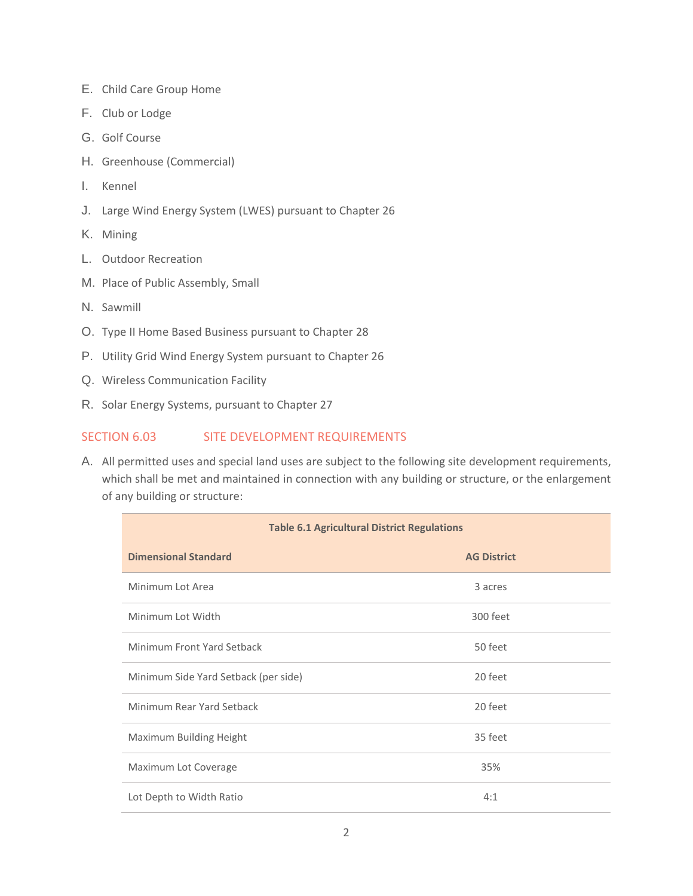- E. Child Care Group Home
- F. Club or Lodge
- G. Golf Course
- H. Greenhouse (Commercial)
- I. Kennel
- J. Large Wind Energy System (LWES) pursuant to Chapter 26
- K. Mining
- L. Outdoor Recreation
- M. Place of Public Assembly, Small
- N. Sawmill
- O. Type II Home Based Business pursuant to Chapter 28
- P. Utility Grid Wind Energy System pursuant to Chapter 26
- Q. Wireless Communication Facility
- R. Solar Energy Systems, pursuant to Chapter 27

## SECTION 6.03 SITE DEVELOPMENT REQUIREMENTS

A. All permitted uses and special land uses are subject to the following site development requirements, which shall be met and maintained in connection with any building or structure, or the enlargement of any building or structure:

| <b>Table 6.1 Agricultural District Regulations</b> |                    |
|----------------------------------------------------|--------------------|
| <b>Dimensional Standard</b>                        | <b>AG District</b> |
| Minimum Lot Area                                   | 3 acres            |
| Minimum Lot Width                                  | 300 feet           |
| Minimum Front Yard Setback                         | 50 feet            |
| Minimum Side Yard Setback (per side)               | 20 feet            |
| Minimum Rear Yard Setback                          | 20 feet            |
| Maximum Building Height                            | 35 feet            |
| Maximum Lot Coverage                               | 35%                |
| Lot Depth to Width Ratio                           | 4:1                |